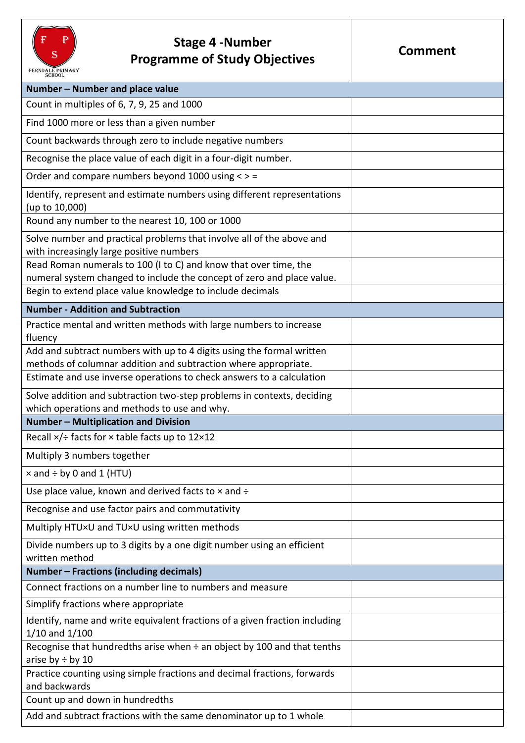

## **Stage 4 -Number Programme of Study Objectives Programme of Study Objectives**

| Number - Number and place value                                                                                                            |  |
|--------------------------------------------------------------------------------------------------------------------------------------------|--|
| Count in multiples of 6, 7, 9, 25 and 1000                                                                                                 |  |
| Find 1000 more or less than a given number                                                                                                 |  |
| Count backwards through zero to include negative numbers                                                                                   |  |
| Recognise the place value of each digit in a four-digit number.                                                                            |  |
| Order and compare numbers beyond 1000 using < > =                                                                                          |  |
| Identify, represent and estimate numbers using different representations<br>(up to 10,000)                                                 |  |
| Round any number to the nearest 10, 100 or 1000                                                                                            |  |
| Solve number and practical problems that involve all of the above and<br>with increasingly large positive numbers                          |  |
| Read Roman numerals to 100 (I to C) and know that over time, the<br>numeral system changed to include the concept of zero and place value. |  |
| Begin to extend place value knowledge to include decimals                                                                                  |  |
| <b>Number - Addition and Subtraction</b>                                                                                                   |  |
| Practice mental and written methods with large numbers to increase                                                                         |  |
| fluency                                                                                                                                    |  |
| Add and subtract numbers with up to 4 digits using the formal written<br>methods of columnar addition and subtraction where appropriate.   |  |
| Estimate and use inverse operations to check answers to a calculation                                                                      |  |
| Solve addition and subtraction two-step problems in contexts, deciding                                                                     |  |
| which operations and methods to use and why.                                                                                               |  |
| Number - Multiplication and Division                                                                                                       |  |
| Recall $\times$ /÷ facts for $\times$ table facts up to 12×12                                                                              |  |
| Multiply 3 numbers together                                                                                                                |  |
| $\times$ and $\div$ by 0 and 1 (HTU)                                                                                                       |  |
| Use place value, known and derived facts to $\times$ and $\div$                                                                            |  |
| Recognise and use factor pairs and commutativity                                                                                           |  |
| Multiply HTU×U and TU×U using written methods                                                                                              |  |
| Divide numbers up to 3 digits by a one digit number using an efficient<br>written method                                                   |  |
| <b>Number - Fractions (including decimals)</b>                                                                                             |  |
| Connect fractions on a number line to numbers and measure                                                                                  |  |
| Simplify fractions where appropriate                                                                                                       |  |
| Identify, name and write equivalent fractions of a given fraction including<br>$1/10$ and $1/100$                                          |  |
| Recognise that hundredths arise when $\div$ an object by 100 and that tenths<br>arise by $\div$ by 10                                      |  |
| Practice counting using simple fractions and decimal fractions, forwards<br>and backwards                                                  |  |
| Count up and down in hundredths                                                                                                            |  |
| Add and subtract fractions with the same denominator up to 1 whole                                                                         |  |